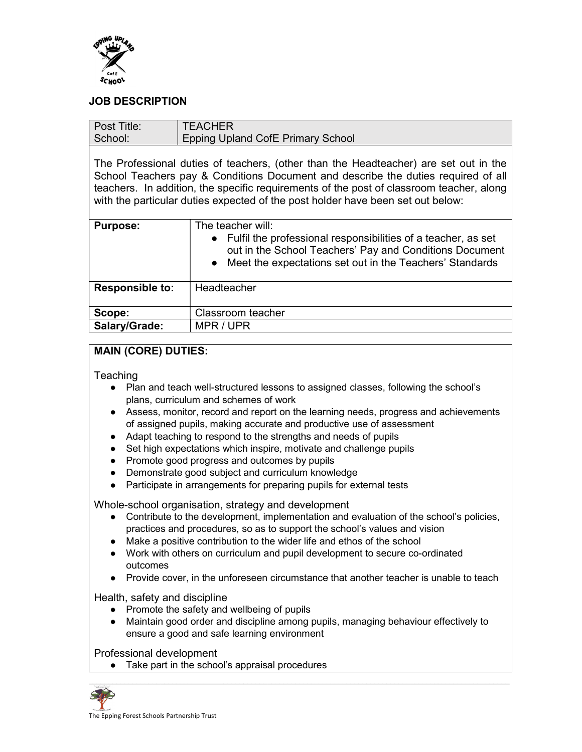

## JOB DESCRIPTION

| Post Title:                                                                                                                                                                                                                                                                                                                                              | <b>TEACHER</b>                                                                                                                                                                                                           |  |
|----------------------------------------------------------------------------------------------------------------------------------------------------------------------------------------------------------------------------------------------------------------------------------------------------------------------------------------------------------|--------------------------------------------------------------------------------------------------------------------------------------------------------------------------------------------------------------------------|--|
| School:                                                                                                                                                                                                                                                                                                                                                  | <b>Epping Upland CofE Primary School</b>                                                                                                                                                                                 |  |
| The Professional duties of teachers, (other than the Headteacher) are set out in the<br>School Teachers pay & Conditions Document and describe the duties required of all<br>teachers. In addition, the specific requirements of the post of classroom teacher, along<br>with the particular duties expected of the post holder have been set out below: |                                                                                                                                                                                                                          |  |
| <b>Purpose:</b>                                                                                                                                                                                                                                                                                                                                          | The teacher will:<br>• Fulfil the professional responsibilities of a teacher, as set<br>out in the School Teachers' Pay and Conditions Document<br>Meet the expectations set out in the Teachers' Standards<br>$\bullet$ |  |
| <b>Responsible to:</b>                                                                                                                                                                                                                                                                                                                                   | Headteacher                                                                                                                                                                                                              |  |
| Scope:                                                                                                                                                                                                                                                                                                                                                   | Classroom teacher                                                                                                                                                                                                        |  |
| Salary/Grade:                                                                                                                                                                                                                                                                                                                                            | MPR / UPR                                                                                                                                                                                                                |  |

## MAIN (CORE) DUTIES:

**Teaching** 

- Plan and teach well-structured lessons to assigned classes, following the school's plans, curriculum and schemes of work
- Assess, monitor, record and report on the learning needs, progress and achievements of assigned pupils, making accurate and productive use of assessment
- Adapt teaching to respond to the strengths and needs of pupils
- Set high expectations which inspire, motivate and challenge pupils
- Promote good progress and outcomes by pupils
- Demonstrate good subject and curriculum knowledge
- Participate in arrangements for preparing pupils for external tests

Whole-school organisation, strategy and development

- Contribute to the development, implementation and evaluation of the school's policies, practices and procedures, so as to support the school's values and vision
- Make a positive contribution to the wider life and ethos of the school
- Work with others on curriculum and pupil development to secure co-ordinated outcomes
- Provide cover, in the unforeseen circumstance that another teacher is unable to teach

Health, safety and discipline

- Promote the safety and wellbeing of pupils
- Maintain good order and discipline among pupils, managing behaviour effectively to ensure a good and safe learning environment

Professional development

● Take part in the school's appraisal procedures

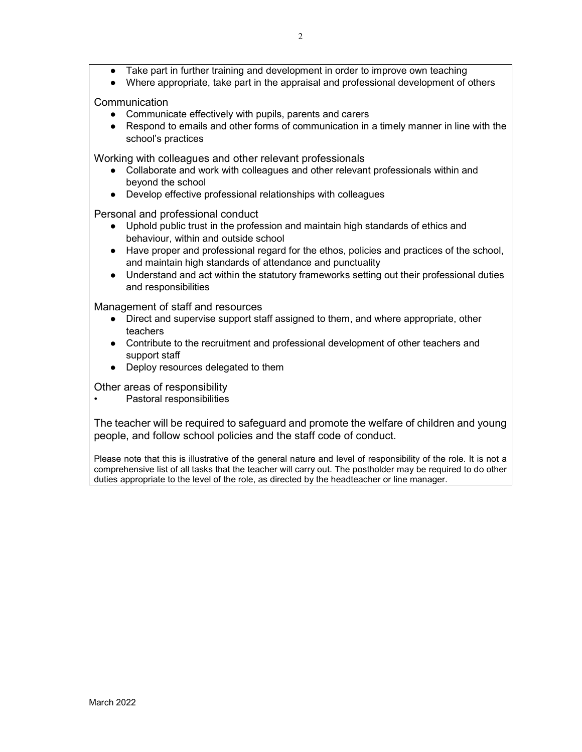- Take part in further training and development in order to improve own teaching
- Where appropriate, take part in the appraisal and professional development of others

**Communication** 

- Communicate effectively with pupils, parents and carers
- Respond to emails and other forms of communication in a timely manner in line with the school's practices

Working with colleagues and other relevant professionals

- Collaborate and work with colleagues and other relevant professionals within and beyond the school
- Develop effective professional relationships with colleagues

Personal and professional conduct

- Uphold public trust in the profession and maintain high standards of ethics and behaviour, within and outside school
- Have proper and professional regard for the ethos, policies and practices of the school, and maintain high standards of attendance and punctuality
- Understand and act within the statutory frameworks setting out their professional duties and responsibilities

Management of staff and resources

- Direct and supervise support staff assigned to them, and where appropriate, other teachers
- Contribute to the recruitment and professional development of other teachers and support staff
- Deploy resources delegated to them

Other areas of responsibility

• Pastoral responsibilities

The teacher will be required to safeguard and promote the welfare of children and young people, and follow school policies and the staff code of conduct.

Please note that this is illustrative of the general nature and level of responsibility of the role. It is not a comprehensive list of all tasks that the teacher will carry out. The postholder may be required to do other duties appropriate to the level of the role, as directed by the headteacher or line manager.